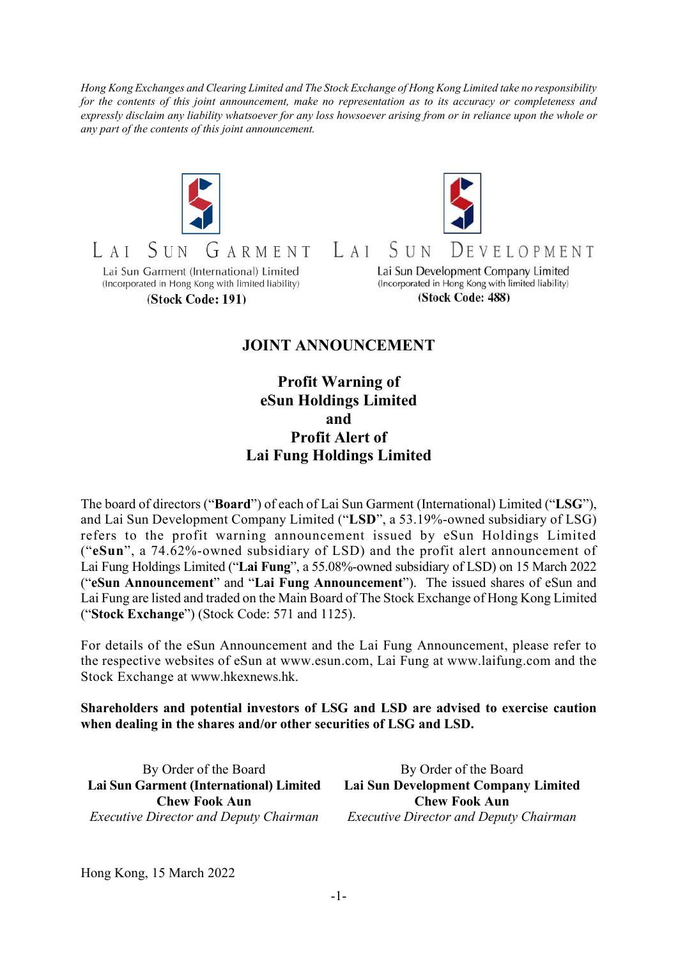Hong Kong Exchanges and Clearing Limited and The Stock Exchange of Hong Kong Limited take no responsibility for the contents of this joint announcement, make no representation as to its accuracy or completeness and expressly disclaim any liability whatsoever for any loss howsoever arising from or in reliance upon the whole or any part of the contents of this joint announcement.





 $A I$ ARMENT Lai Sun Garment (International) Limited (Incorporated in Hong Kong with limited liability)

(Stock Code: 191)

Lai Sun Development Company Limited (Incorporated in Hong Kong with limited liability) (Stock Code: 488)

DEVELOPMENT

## JOINT ANNOUNCEMENT

 $LAI$ 

S u n

Profit Warning of eSun Holdings Limited and Profit Alert of Lai Fung Holdings Limited

The board of directors ("Board") of each of Lai Sun Garment (International) Limited ("LSG"), and Lai Sun Development Company Limited ("LSD", a 53.19%-owned subsidiary of LSG) refers to the profit warning announcement issued by eSun Holdings Limited ("eSun", a 74.62%-owned subsidiary of LSD) and the profit alert announcement of Lai Fung Holdings Limited ("Lai Fung", a 55.08%-owned subsidiary of LSD) on 15 March 2022 ("eSun Announcement" and "Lai Fung Announcement"). The issued shares of eSun and Lai Fung are listed and traded on the Main Board of The Stock Exchange of Hong Kong Limited ("Stock Exchange") (Stock Code: 571 and 1125).

For details of the eSun Announcement and the Lai Fung Announcement, please refer to the respective websites of eSun at www.esun.com, Lai Fung at www.laifung.com and the Stock Exchange at www.hkexnews.hk.

Shareholders and potential investors of LSG and LSD are advised to exercise caution when dealing in the shares and/or other securities of LSG and LSD.

By Order of the Board Lai Sun Garment (International) Limited Chew Fook Aun Executive Director and Deputy Chairman

By Order of the Board Lai Sun Development Company Limited Chew Fook Aun Executive Director and Deputy Chairman

Hong Kong, 15 March 2022